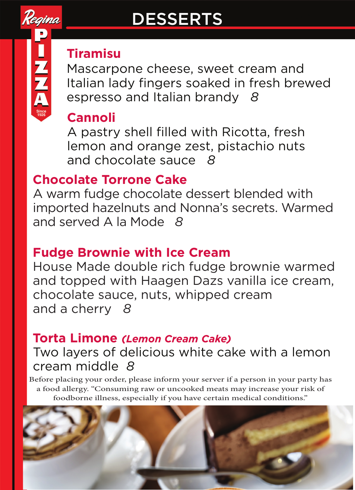

## DESSERTS

#### **Tiramisu**

Mascarpone cheese, sweet cream and Italian lady fingers soaked in fresh brewed espresso and Italian brandy *8*

### **Cannoli**

 A pastry shell filled with Ricotta, fresh lemon and orange zest, pistachio nuts and chocolate sauce *8*

#### **Chocolate Torrone Cake**

A warm fudge chocolate dessert blended with imported hazelnuts and Nonna's secrets. Warmed and served A la Mode *8*

#### **Fudge Brownie with Ice Cream**

House Made double rich fudge brownie warmed and topped with Haagen Dazs vanilla ice cream, chocolate sauce, nuts, whipped cream and a cherry *8*

#### **Torta Limone** *(Lemon Cream Cake)*

#### Two layers of delicious white cake with a lemon cream middle *8*

Before placing your order, please inform your server if a person in your party has a food allergy. "Consuming raw or uncooked meats may increase your risk of foodborne illness, especially if you have certain medical conditions."